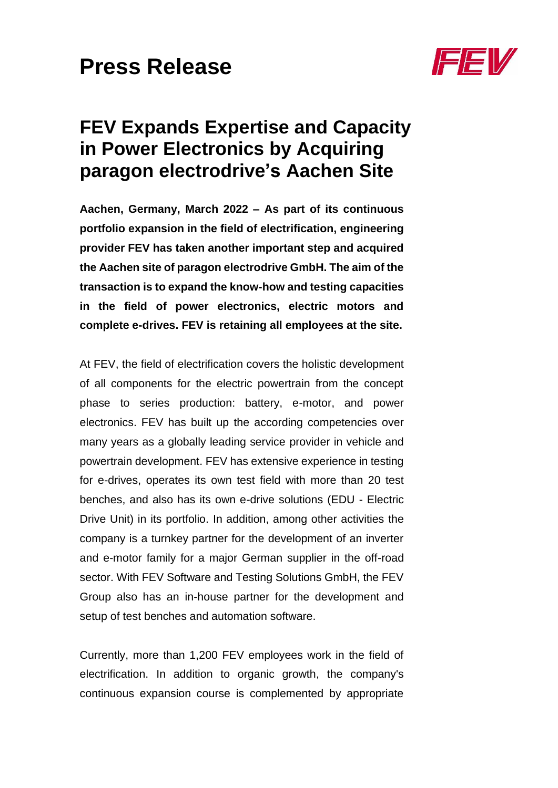

# **FEV Expands Expertise and Capacity in Power Electronics by Acquiring paragon electrodrive's Aachen Site**

**Aachen, Germany, March 2022 – As part of its continuous portfolio expansion in the field of electrification, engineering provider FEV has taken another important step and acquired the Aachen site of paragon electrodrive GmbH. The aim of the transaction is to expand the know-how and testing capacities in the field of power electronics, electric motors and complete e-drives. FEV is retaining all employees at the site.**

At FEV, the field of electrification covers the holistic development of all components for the electric powertrain from the concept phase to series production: battery, e-motor, and power electronics. FEV has built up the according competencies over many years as a globally leading service provider in vehicle and powertrain development. FEV has extensive experience in testing for e-drives, operates its own test field with more than 20 test benches, and also has its own e-drive solutions (EDU - Electric Drive Unit) in its portfolio. In addition, among other activities the company is a turnkey partner for the development of an inverter and e-motor family for a major German supplier in the off-road sector. With FEV Software and Testing Solutions GmbH, the FEV Group also has an in-house partner for the development and setup of test benches and automation software.

Currently, more than 1,200 FEV employees work in the field of electrification. In addition to organic growth, the company's continuous expansion course is complemented by appropriate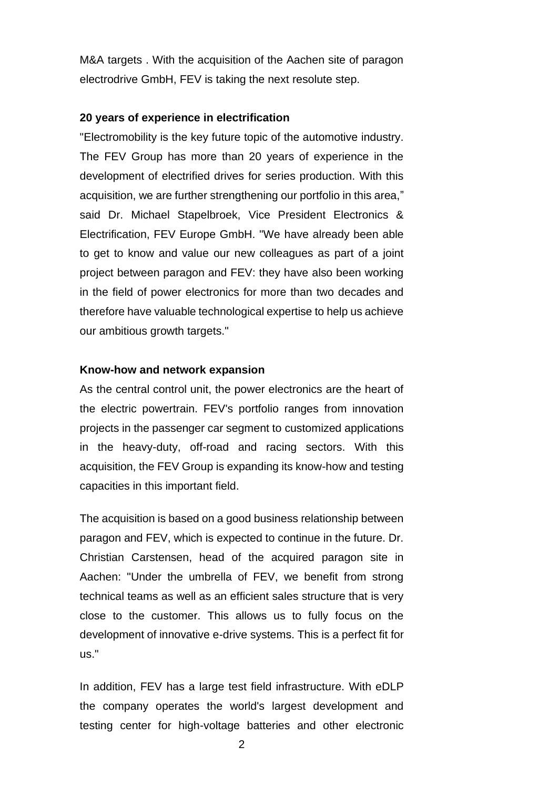M&A targets . With the acquisition of the Aachen site of paragon electrodrive GmbH, FEV is taking the next resolute step.

# **20 years of experience in electrification**

"Electromobility is the key future topic of the automotive industry. The FEV Group has more than 20 years of experience in the development of electrified drives for series production. With this acquisition, we are further strengthening our portfolio in this area," said Dr. Michael Stapelbroek, Vice President Electronics & Electrification, FEV Europe GmbH. "We have already been able to get to know and value our new colleagues as part of a joint project between paragon and FEV: they have also been working in the field of power electronics for more than two decades and therefore have valuable technological expertise to help us achieve our ambitious growth targets."

### **Know-how and network expansion**

As the central control unit, the power electronics are the heart of the electric powertrain. FEV's portfolio ranges from innovation projects in the passenger car segment to customized applications in the heavy-duty, off-road and racing sectors. With this acquisition, the FEV Group is expanding its know-how and testing capacities in this important field.

The acquisition is based on a good business relationship between paragon and FEV, which is expected to continue in the future. Dr. Christian Carstensen, head of the acquired paragon site in Aachen: "Under the umbrella of FEV, we benefit from strong technical teams as well as an efficient sales structure that is very close to the customer. This allows us to fully focus on the development of innovative e-drive systems. This is a perfect fit for us."

In addition, FEV has a large test field infrastructure. With eDLP the company operates the world's largest development and testing center for high-voltage batteries and other electronic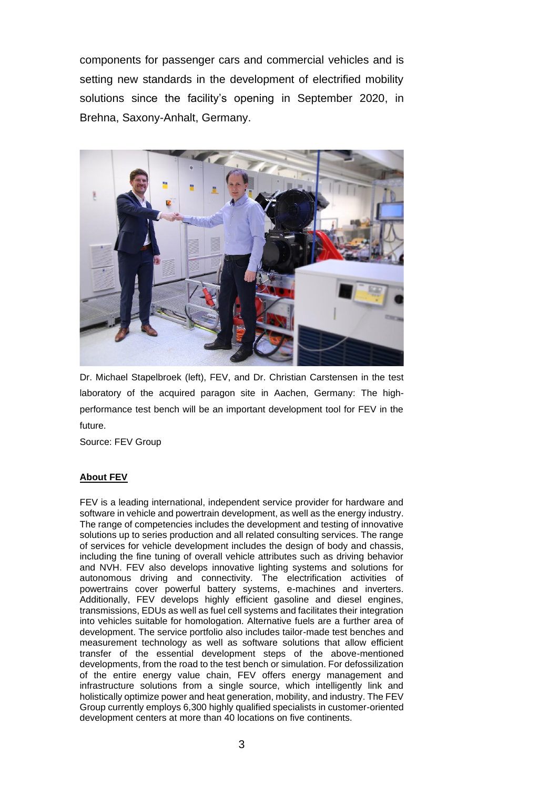components for passenger cars and commercial vehicles and is setting new standards in the development of electrified mobility solutions since the facility's opening in September 2020, in Brehna, Saxony-Anhalt, Germany.



Dr. Michael Stapelbroek (left), FEV, and Dr. Christian Carstensen in the test laboratory of the acquired paragon site in Aachen, Germany: The highperformance test bench will be an important development tool for FEV in the future.

Source: FEV Group

# **About FEV**

FEV is a leading international, independent service provider for hardware and software in vehicle and powertrain development, as well as the energy industry. The range of competencies includes the development and testing of innovative solutions up to series production and all related consulting services. The range of services for vehicle development includes the design of body and chassis, including the fine tuning of overall vehicle attributes such as driving behavior and NVH. FEV also develops innovative lighting systems and solutions for autonomous driving and connectivity. The electrification activities of powertrains cover powerful battery systems, e-machines and inverters. Additionally, FEV develops highly efficient gasoline and diesel engines, transmissions, EDUs as well as fuel cell systems and facilitates their integration into vehicles suitable for homologation. Alternative fuels are a further area of development. The service portfolio also includes tailor-made test benches and measurement technology as well as software solutions that allow efficient transfer of the essential development steps of the above-mentioned developments, from the road to the test bench or simulation. For defossilization of the entire energy value chain, FEV offers energy management and infrastructure solutions from a single source, which intelligently link and holistically optimize power and heat generation, mobility, and industry. The FEV Group currently employs 6,300 highly qualified specialists in customer-oriented development centers at more than 40 locations on five continents.